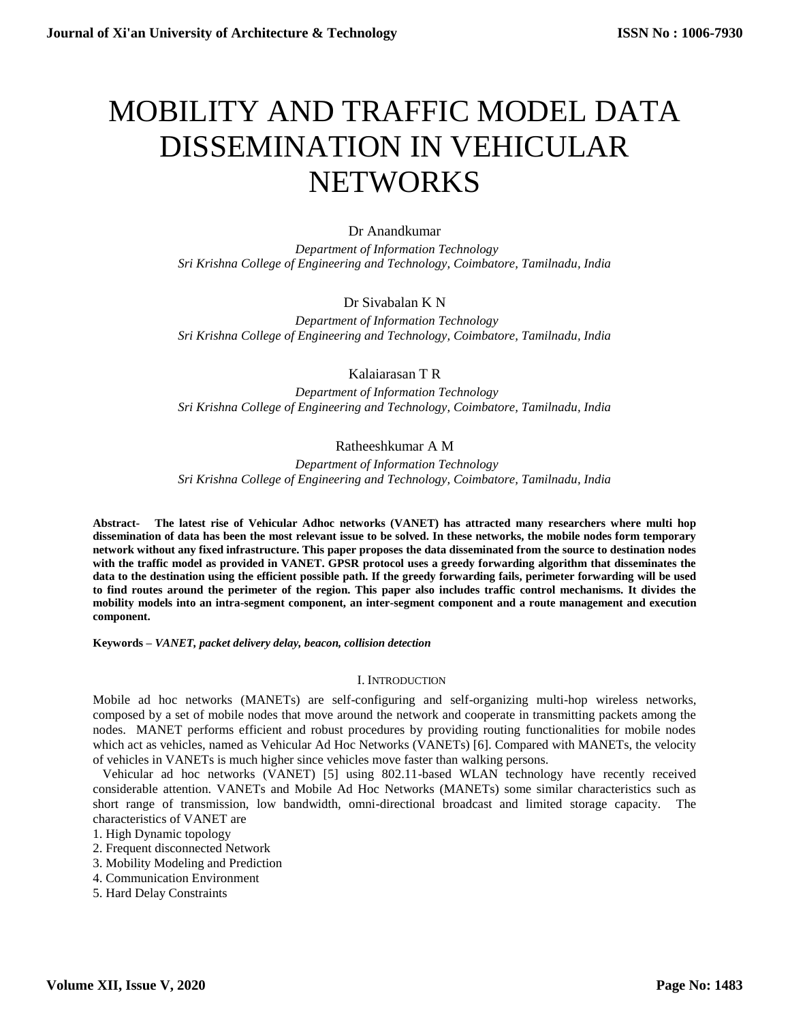# MOBILITY AND TRAFFIC MODEL DATA DISSEMINATION IN VEHICULAR NETWORKS

# Dr Anandkumar

 *Department of Information Technology Sri Krishna College of Engineering and Technology, Coimbatore, Tamilnadu, India*

# Dr Sivabalan K N

 *Department of Information Technology Sri Krishna College of Engineering and Technology, Coimbatore, Tamilnadu, India*

# Kalaiarasan T R

 *Department of Information Technology Sri Krishna College of Engineering and Technology, Coimbatore, Tamilnadu, India*

# Ratheeshkumar A M

 *Department of Information Technology Sri Krishna College of Engineering and Technology, Coimbatore, Tamilnadu, India*

**Abstract- The latest rise of Vehicular Adhoc networks (VANET) has attracted many researchers where multi hop dissemination of data has been the most relevant issue to be solved. In these networks, the mobile nodes form temporary network without any fixed infrastructure. This paper proposes the data disseminated from the source to destination nodes with the traffic model as provided in VANET. GPSR protocol uses a greedy forwarding algorithm that disseminates the data to the destination using the efficient possible path. If the greedy forwarding fails, perimeter forwarding will be used to find routes around the perimeter of the region. This paper also includes traffic control mechanisms. It divides the mobility models into an intra-segment component, an inter-segment component and a route management and execution component.**

**Keywords –** *VANET, packet delivery delay, beacon, collision detection*

# I. INTRODUCTION

Mobile ad hoc networks (MANETs) are self-configuring and self-organizing multi-hop wireless networks, composed by a set of mobile nodes that move around the network and cooperate in transmitting packets among the nodes. MANET performs efficient and robust procedures by providing routing functionalities for mobile nodes which act as vehicles, named as Vehicular Ad Hoc Networks (VANETs) [6]. Compared with MANETs, the velocity of vehicles in VANETs is much higher since vehicles move faster than walking persons.

 Vehicular ad hoc networks (VANET) [5] using 802.11-based WLAN technology have recently received considerable attention. VANETs and Mobile Ad Hoc Networks (MANETs) some similar characteristics such as short range of transmission, low bandwidth, omni-directional broadcast and limited storage capacity. The characteristics of VANET are

- 2. Frequent disconnected Network
- 3. Mobility Modeling and Prediction
- 4. Communication Environment
- 5. Hard Delay Constraints

<sup>1.</sup> High Dynamic topology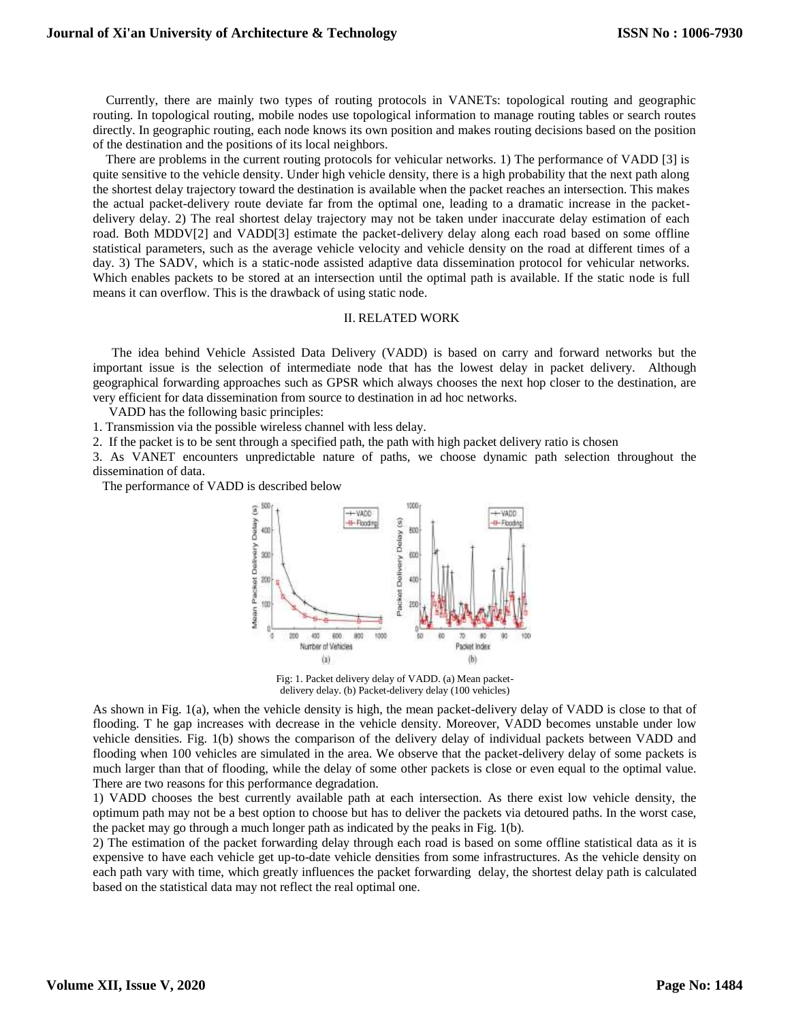Currently, there are mainly two types of routing protocols in VANETs: topological routing and geographic routing. In topological routing, mobile nodes use topological information to manage routing tables or search routes directly. In geographic routing, each node knows its own position and makes routing decisions based on the position of the destination and the positions of its local neighbors.

 There are problems in the current routing protocols for vehicular networks. 1) The performance of VADD [3] is quite sensitive to the vehicle density. Under high vehicle density, there is a high probability that the next path along the shortest delay trajectory toward the destination is available when the packet reaches an intersection. This makes the actual packet-delivery route deviate far from the optimal one, leading to a dramatic increase in the packetdelivery delay. 2) The real shortest delay trajectory may not be taken under inaccurate delay estimation of each road. Both MDDV[2] and VADD[3] estimate the packet-delivery delay along each road based on some offline statistical parameters, such as the average vehicle velocity and vehicle density on the road at different times of a day. 3) The SADV, which is a static-node assisted adaptive data dissemination protocol for vehicular networks. Which enables packets to be stored at an intersection until the optimal path is available. If the static node is full means it can overflow. This is the drawback of using static node.

## II. RELATED WORK

 The idea behind Vehicle Assisted Data Delivery (VADD) is based on carry and forward networks but the important issue is the selection of intermediate node that has the lowest delay in packet delivery. Although geographical forwarding approaches such as GPSR which always chooses the next hop closer to the destination, are very efficient for data dissemination from source to destination in ad hoc networks.

VADD has the following basic principles:

1. Transmission via the possible wireless channel with less delay.

2. If the packet is to be sent through a specified path, the path with high packet delivery ratio is chosen

3. As VANET encounters unpredictable nature of paths, we choose dynamic path selection throughout the dissemination of data.

The performance of VADD is described below



Fig: 1. Packet delivery delay of VADD. (a) Mean packetdelivery delay. (b) Packet-delivery delay (100 vehicles)

As shown in Fig. 1(a), when the vehicle density is high, the mean packet-delivery delay of VADD is close to that of flooding. T he gap increases with decrease in the vehicle density. Moreover, VADD becomes unstable under low vehicle densities. Fig. 1(b) shows the comparison of the delivery delay of individual packets between VADD and flooding when 100 vehicles are simulated in the area. We observe that the packet-delivery delay of some packets is much larger than that of flooding, while the delay of some other packets is close or even equal to the optimal value. There are two reasons for this performance degradation.

1) VADD chooses the best currently available path at each intersection. As there exist low vehicle density, the optimum path may not be a best option to choose but has to deliver the packets via detoured paths. In the worst case, the packet may go through a much longer path as indicated by the peaks in Fig. 1(b).

2) The estimation of the packet forwarding delay through each road is based on some offline statistical data as it is expensive to have each vehicle get up-to-date vehicle densities from some infrastructures. As the vehicle density on each path vary with time, which greatly influences the packet forwarding delay, the shortest delay path is calculated based on the statistical data may not reflect the real optimal one.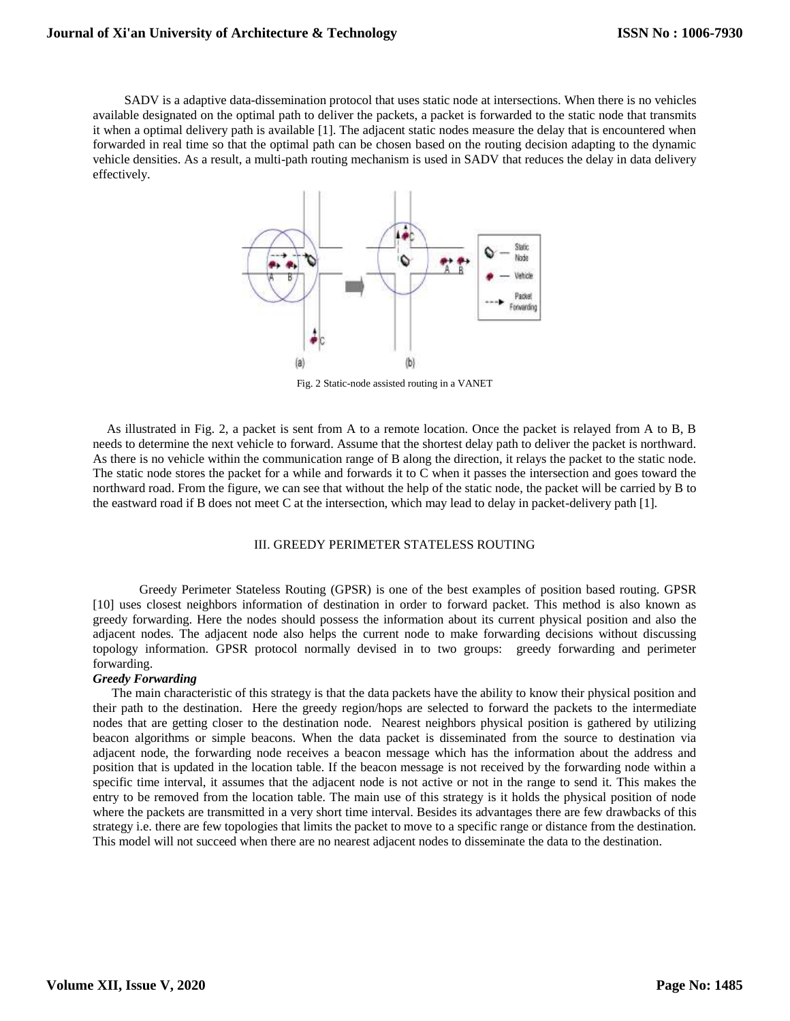SADV is a adaptive data-dissemination protocol that uses static node at intersections. When there is no vehicles available designated on the optimal path to deliver the packets, a packet is forwarded to the static node that transmits it when a optimal delivery path is available [1]. The adjacent static nodes measure the delay that is encountered when forwarded in real time so that the optimal path can be chosen based on the routing decision adapting to the dynamic vehicle densities. As a result, a multi-path routing mechanism is used in SADV that reduces the delay in data delivery effectively.



Fig. 2 Static-node assisted routing in a VANET

As illustrated in Fig. 2, a packet is sent from A to a remote location. Once the packet is relayed from A to B, B needs to determine the next vehicle to forward. Assume that the shortest delay path to deliver the packet is northward. As there is no vehicle within the communication range of B along the direction, it relays the packet to the static node. The static node stores the packet for a while and forwards it to C when it passes the intersection and goes toward the northward road. From the figure, we can see that without the help of the static node, the packet will be carried by B to the eastward road if B does not meet C at the intersection, which may lead to delay in packet-delivery path [1].

## III. GREEDY PERIMETER STATELESS ROUTING

Greedy Perimeter Stateless Routing (GPSR) is one of the best examples of position based routing. GPSR [10] uses closest neighbors information of destination in order to forward packet. This method is also known as greedy forwarding. Here the nodes should possess the information about its current physical position and also the adjacent nodes. The adjacent node also helps the current node to make forwarding decisions without discussing topology information. GPSR protocol normally devised in to two groups: greedy forwarding and perimeter forwarding.

## *Greedy Forwarding*

 The main characteristic of this strategy is that the data packets have the ability to know their physical position and their path to the destination. Here the greedy region/hops are selected to forward the packets to the intermediate nodes that are getting closer to the destination node. Nearest neighbors physical position is gathered by utilizing beacon algorithms or simple beacons. When the data packet is disseminated from the source to destination via adjacent node, the forwarding node receives a beacon message which has the information about the address and position that is updated in the location table. If the beacon message is not received by the forwarding node within a specific time interval, it assumes that the adjacent node is not active or not in the range to send it. This makes the entry to be removed from the location table. The main use of this strategy is it holds the physical position of node where the packets are transmitted in a very short time interval. Besides its advantages there are few drawbacks of this strategy i.e. there are few topologies that limits the packet to move to a specific range or distance from the destination. This model will not succeed when there are no nearest adjacent nodes to disseminate the data to the destination.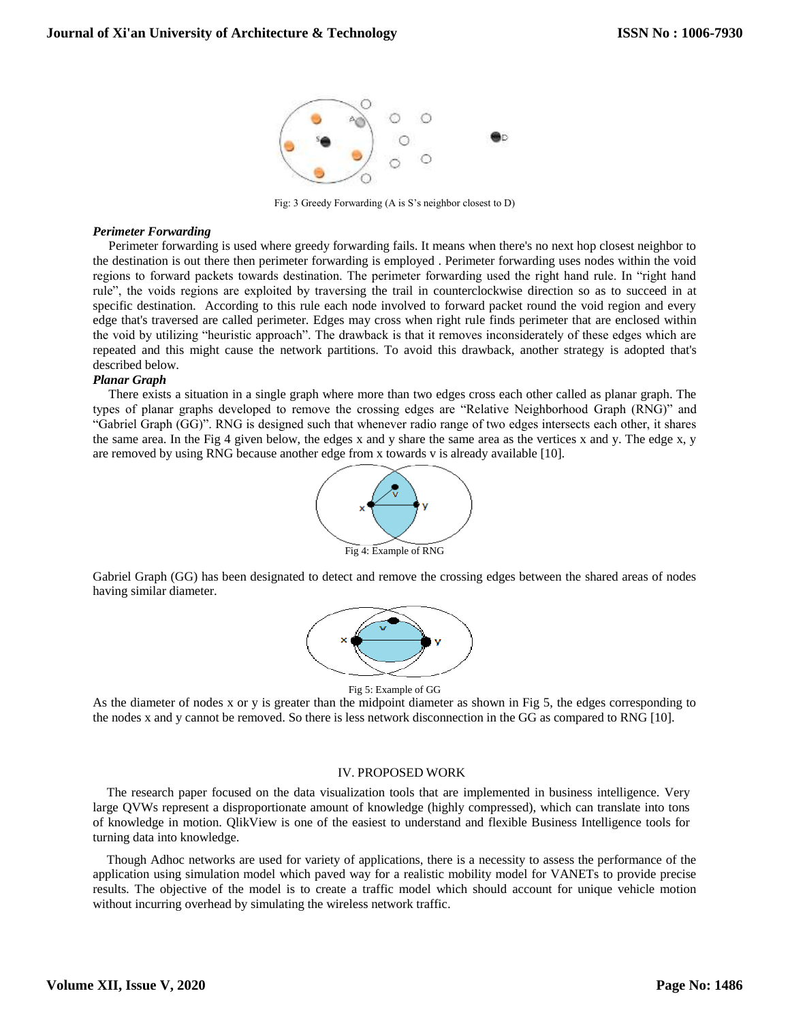

Fig: 3 Greedy Forwarding (A is S's neighbor closest to D)

#### *Perimeter Forwarding*

 Perimeter forwarding is used where greedy forwarding fails. It means when there's no next hop closest neighbor to the destination is out there then perimeter forwarding is employed . Perimeter forwarding uses nodes within the void regions to forward packets towards destination. The perimeter forwarding used the right hand rule. In "right hand rule", the voids regions are exploited by traversing the trail in counterclockwise direction so as to succeed in at specific destination. According to this rule each node involved to forward packet round the void region and every edge that's traversed are called perimeter. Edges may cross when right rule finds perimeter that are enclosed within the void by utilizing "heuristic approach". The drawback is that it removes inconsiderately of these edges which are repeated and this might cause the network partitions. To avoid this drawback, another strategy is adopted that's described below.

## *Planar Graph*

 There exists a situation in a single graph where more than two edges cross each other called as planar graph. The types of planar graphs developed to remove the crossing edges are "Relative Neighborhood Graph (RNG)" and "Gabriel Graph (GG)". RNG is designed such that whenever radio range of two edges intersects each other, it shares the same area. In the Fig 4 given below, the edges x and y share the same area as the vertices x and y. The edge x, y are removed by using RNG because another edge from x towards v is already available [10].



Gabriel Graph (GG) has been designated to detect and remove the crossing edges between the shared areas of nodes having similar diameter.



Fig 5: Example of GG

As the diameter of nodes x or y is greater than the midpoint diameter as shown in Fig 5, the edges corresponding to the nodes x and y cannot be removed. So there is less network disconnection in the GG as compared to RNG [10].

#### IV. PROPOSED WORK

The research paper focused on the data visualization tools that are implemented in business intelligence. Very large QVWs represent a disproportionate amount of knowledge (highly compressed), which can translate into tons of knowledge in motion. QlikView is one of the easiest to understand and flexible Business Intelligence tools for turning data into knowledge.

Though Adhoc networks are used for variety of applications, there is a necessity to assess the performance of the application using simulation model which paved way for a realistic mobility model for VANETs to provide precise results. The objective of the model is to create a traffic model which should account for unique vehicle motion without incurring overhead by simulating the wireless network traffic.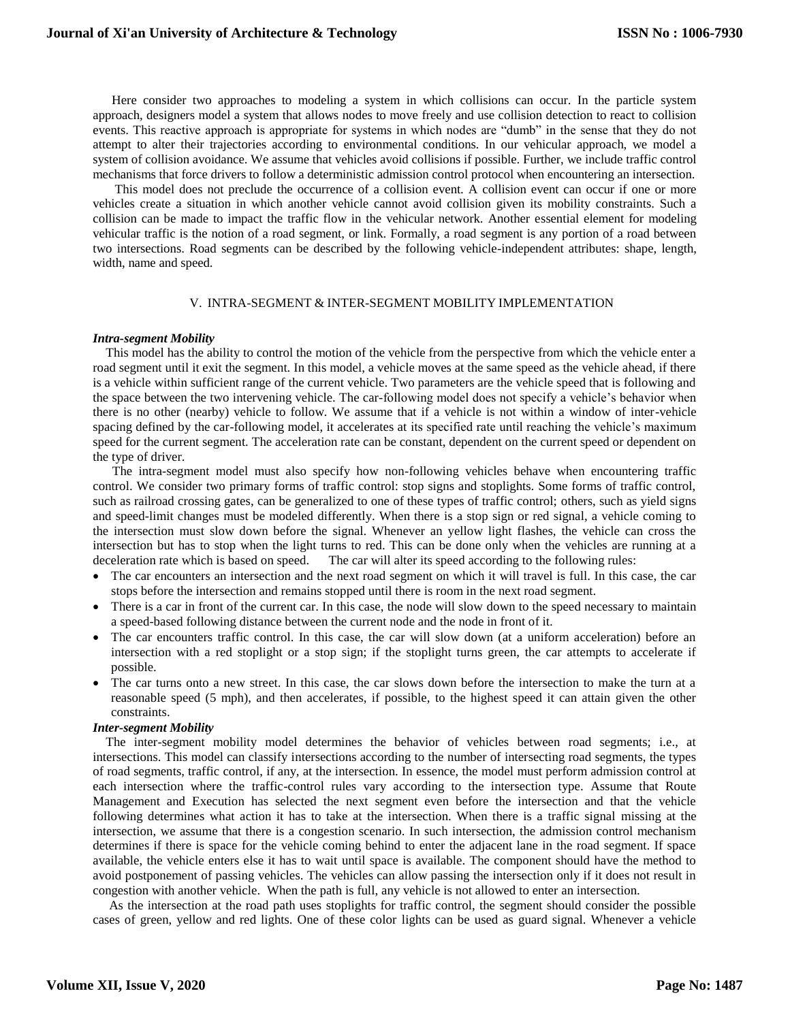Here consider two approaches to modeling a system in which collisions can occur. In the particle system approach, designers model a system that allows nodes to move freely and use collision detection to react to collision events. This reactive approach is appropriate for systems in which nodes are "dumb" in the sense that they do not attempt to alter their trajectories according to environmental conditions. In our vehicular approach, we model a system of collision avoidance. We assume that vehicles avoid collisions if possible. Further, we include traffic control mechanisms that force drivers to follow a deterministic admission control protocol when encountering an intersection.

 This model does not preclude the occurrence of a collision event. A collision event can occur if one or more vehicles create a situation in which another vehicle cannot avoid collision given its mobility constraints. Such a collision can be made to impact the traffic flow in the vehicular network. Another essential element for modeling vehicular traffic is the notion of a road segment, or link. Formally, a road segment is any portion of a road between two intersections. Road segments can be described by the following vehicle-independent attributes: shape, length, width, name and speed.

#### V. INTRA-SEGMENT & INTER-SEGMENT MOBILITY IMPLEMENTATION

#### *Intra-segment Mobility*

 This model has the ability to control the motion of the vehicle from the perspective from which the vehicle enter a road segment until it exit the segment. In this model, a vehicle moves at the same speed as the vehicle ahead, if there is a vehicle within sufficient range of the current vehicle. Two parameters are the vehicle speed that is following and the space between the two intervening vehicle. The car-following model does not specify a vehicle's behavior when there is no other (nearby) vehicle to follow. We assume that if a vehicle is not within a window of inter-vehicle spacing defined by the car-following model, it accelerates at its specified rate until reaching the vehicle's maximum speed for the current segment. The acceleration rate can be constant, dependent on the current speed or dependent on the type of driver.

 The intra-segment model must also specify how non-following vehicles behave when encountering traffic control. We consider two primary forms of traffic control: stop signs and stoplights. Some forms of traffic control, such as railroad crossing gates, can be generalized to one of these types of traffic control; others, such as yield signs and speed-limit changes must be modeled differently. When there is a stop sign or red signal, a vehicle coming to the intersection must slow down before the signal. Whenever an yellow light flashes, the vehicle can cross the intersection but has to stop when the light turns to red. This can be done only when the vehicles are running at a deceleration rate which is based on speed. The car will alter its speed according to the following rules:

- The car encounters an intersection and the next road segment on which it will travel is full. In this case, the car stops before the intersection and remains stopped until there is room in the next road segment.
- There is a car in front of the current car. In this case, the node will slow down to the speed necessary to maintain a speed-based following distance between the current node and the node in front of it.
- The car encounters traffic control. In this case, the car will slow down (at a uniform acceleration) before an intersection with a red stoplight or a stop sign; if the stoplight turns green, the car attempts to accelerate if possible.
- The car turns onto a new street. In this case, the car slows down before the intersection to make the turn at a reasonable speed (5 mph), and then accelerates, if possible, to the highest speed it can attain given the other constraints.

#### *Inter-segment Mobility*

 The inter-segment mobility model determines the behavior of vehicles between road segments; i.e., at intersections. This model can classify intersections according to the number of intersecting road segments, the types of road segments, traffic control, if any, at the intersection. In essence, the model must perform admission control at each intersection where the traffic-control rules vary according to the intersection type. Assume that Route Management and Execution has selected the next segment even before the intersection and that the vehicle following determines what action it has to take at the intersection. When there is a traffic signal missing at the intersection, we assume that there is a congestion scenario. In such intersection, the admission control mechanism determines if there is space for the vehicle coming behind to enter the adjacent lane in the road segment. If space available, the vehicle enters else it has to wait until space is available. The component should have the method to avoid postponement of passing vehicles. The vehicles can allow passing the intersection only if it does not result in congestion with another vehicle. When the path is full, any vehicle is not allowed to enter an intersection.

 As the intersection at the road path uses stoplights for traffic control, the segment should consider the possible cases of green, yellow and red lights. One of these color lights can be used as guard signal. Whenever a vehicle